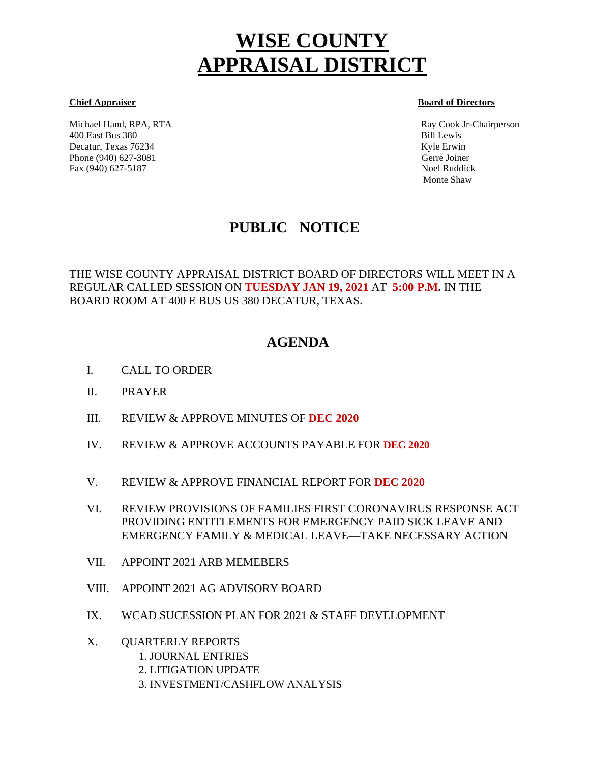# **WISE COUNTY APPRAISAL DISTRICT**

Michael Hand, RPA, RTA Ray Cook Jr-Chairperson 400 East Bus 380 Bill Lewis Decatur, Texas 76234 Kyle Erwin Kyle Erwin Kyle Erwin Kyle Erwin Kyle Erwin Kyle Erwin Kyle Erwin Kyle Erwin Kyle Erwin Kyle Erwin Kyle Erwin Kyle Erwin Kyle Erwin Kyle Erwin Kyle Erwin Kyle Erwin Kyle Erwin Kyle Erwin Kyl Phone (940) 627-3081 Gerre Joiner Fax (940) 627-5187 Noel Ruddick

#### **Chief Appraiser Board of Directors**

Monte Shaw

# **PUBLIC NOTICE**

THE WISE COUNTY APPRAISAL DISTRICT BOARD OF DIRECTORS WILL MEET IN A REGULAR CALLED SESSION ON **TUESDAY JAN 19, 2021** AT **5:00 P.M.** IN THE BOARD ROOM AT 400 E BUS US 380 DECATUR, TEXAS.

# **AGENDA**

- I. CALL TO ORDER Ĩ
- II. PRAYER
- III. REVIEW & APPROVE MINUTES OF **DEC 2020**
- IV. REVIEW & APPROVE ACCOUNTS PAYABLE FOR **DEC 2020**
- V. REVIEW & APPROVE FINANCIAL REPORT FOR **DEC 2020**
- VI. REVIEW PROVISIONS OF FAMILIES FIRST CORONAVIRUS RESPONSE ACT PROVIDING ENTITLEMENTS FOR EMERGENCY PAID SICK LEAVE AND EMERGENCY FAMILY & MEDICAL LEAVE—TAKE NECESSARY ACTION
- VII. APPOINT 2021 ARB MEMEBERS
- VIII. APPOINT 2021 AG ADVISORY BOARD
- IX. WCAD SUCESSION PLAN FOR 2021 & STAFF DEVELOPMENT
- X. QUARTERLY REPORTS
	- 1. JOURNAL ENTRIES
	- 2. LITIGATION UPDATE
	- 3. INVESTMENT/CASHFLOW ANALYSIS